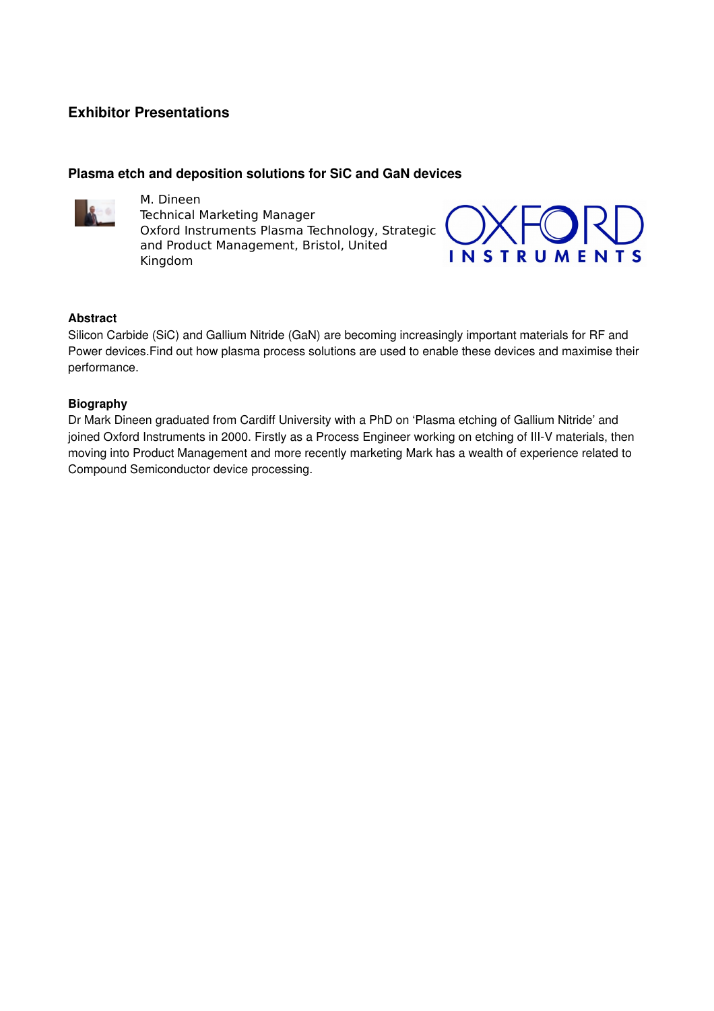# **Exhibitor Presentations**

## **Plasma etch and deposition solutions for SiC and GaN devices**



M. Dineen Technical Marketing Manager Oxford Instruments Plasma Technology, Strategic and Product Management, Bristol, United Kingdom



#### **Abstract**

Silicon Carbide (SiC) and Gallium Nitride (GaN) are becoming increasingly important materials for RF and Power devices.Find out how plasma process solutions are used to enable these devices and maximise their performance.

#### **Biography**

Dr Mark Dineen graduated from Cardiff University with a PhD on 'Plasma etching of Gallium Nitride' and joined Oxford Instruments in 2000. Firstly as a Process Engineer working on etching of III-V materials, then moving into Product Management and more recently marketing Mark has a wealth of experience related to Compound Semiconductor device processing.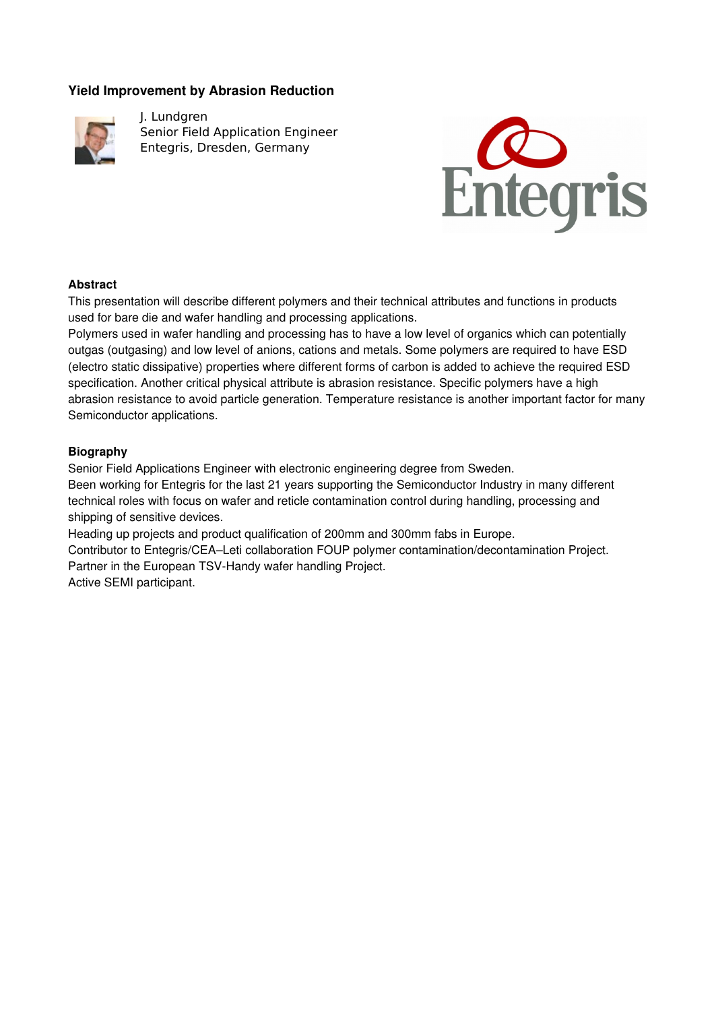# **Yield Improvement by Abrasion Reduction**



J. Lundgren Senior Field Application Engineer Entegris, Dresden, Germany



## **Abstract**

This presentation will describe different polymers and their technical attributes and functions in products used for bare die and wafer handling and processing applications.

Polymers used in wafer handling and processing has to have a low level of organics which can potentially outgas (outgasing) and low level of anions, cations and metals. Some polymers are required to have ESD (electro static dissipative) properties where different forms of carbon is added to achieve the required ESD specification. Another critical physical attribute is abrasion resistance. Specific polymers have a high abrasion resistance to avoid particle generation. Temperature resistance is another important factor for many Semiconductor applications.

## **Biography**

Senior Field Applications Engineer with electronic engineering degree from Sweden.

Been working for Entegris for the last 21 years supporting the Semiconductor Industry in many different technical roles with focus on wafer and reticle contamination control during handling, processing and shipping of sensitive devices.

Heading up projects and product qualification of 200mm and 300mm fabs in Europe.

Contributor to Entegris/CEA–Leti collaboration FOUP polymer contamination/decontamination Project. Partner in the European TSV-Handy wafer handling Project.

Active SEMI participant.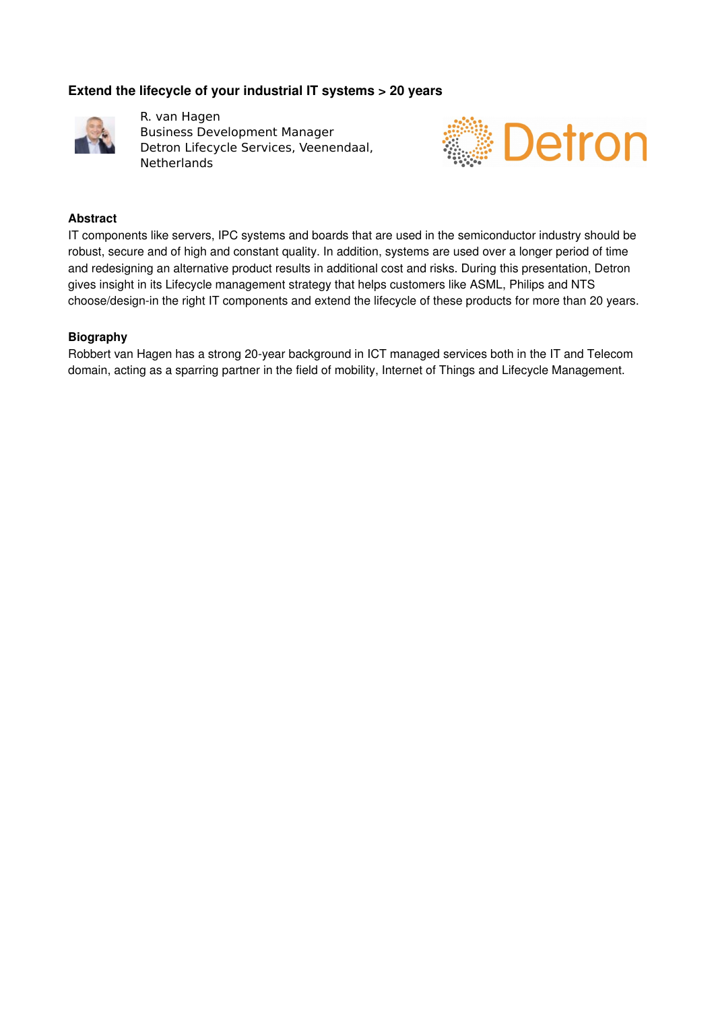# **Extend the lifecycle of your industrial IT systems > 20 years**



R. van Hagen Business Development Manager Detron Lifecycle Services, Veenendaal, **Netherlands** 



#### **Abstract**

IT components like servers, IPC systems and boards that are used in the semiconductor industry should be robust, secure and of high and constant quality. In addition, systems are used over a longer period of time and redesigning an alternative product results in additional cost and risks. During this presentation, Detron gives insight in its Lifecycle management strategy that helps customers like ASML, Philips and NTS choose/design-in the right IT components and extend the lifecycle of these products for more than 20 years.

#### **Biography**

Robbert van Hagen has a strong 20-year background in ICT managed services both in the IT and Telecom domain, acting as a sparring partner in the field of mobility, Internet of Things and Lifecycle Management.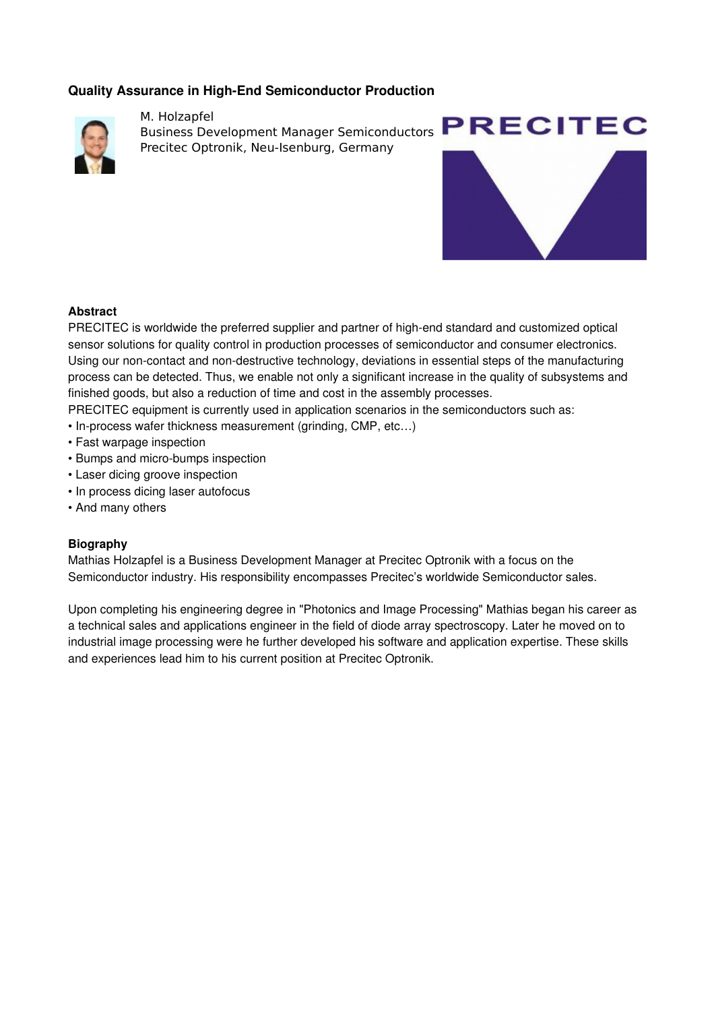# **Quality Assurance in High-End Semiconductor Production**



M. Holzapfel Business Development Manager Semiconductors Precitec Optronik, Neu-Isenburg, Germany



## **Abstract**

PRECITEC is worldwide the preferred supplier and partner of high-end standard and customized optical sensor solutions for quality control in production processes of semiconductor and consumer electronics. Using our non-contact and non-destructive technology, deviations in essential steps of the manufacturing process can be detected. Thus, we enable not only a significant increase in the quality of subsystems and finished goods, but also a reduction of time and cost in the assembly processes.

PRECITEC equipment is currently used in application scenarios in the semiconductors such as:

- In-process wafer thickness measurement (grinding, CMP, etc...)
- Fast warpage inspection
- Bumps and micro-bumps inspection
- Laser dicing groove inspection
- In process dicing laser autofocus
- And many others

#### **Biography**

Mathias Holzapfel is a Business Development Manager at Precitec Optronik with a focus on the Semiconductor industry. His responsibility encompasses Precitec's worldwide Semiconductor sales.

Upon completing his engineering degree in "Photonics and Image Processing" Mathias began his career as a technical sales and applications engineer in the field of diode array spectroscopy. Later he moved on to industrial image processing were he further developed his software and application expertise. These skills and experiences lead him to his current position at Precitec Optronik.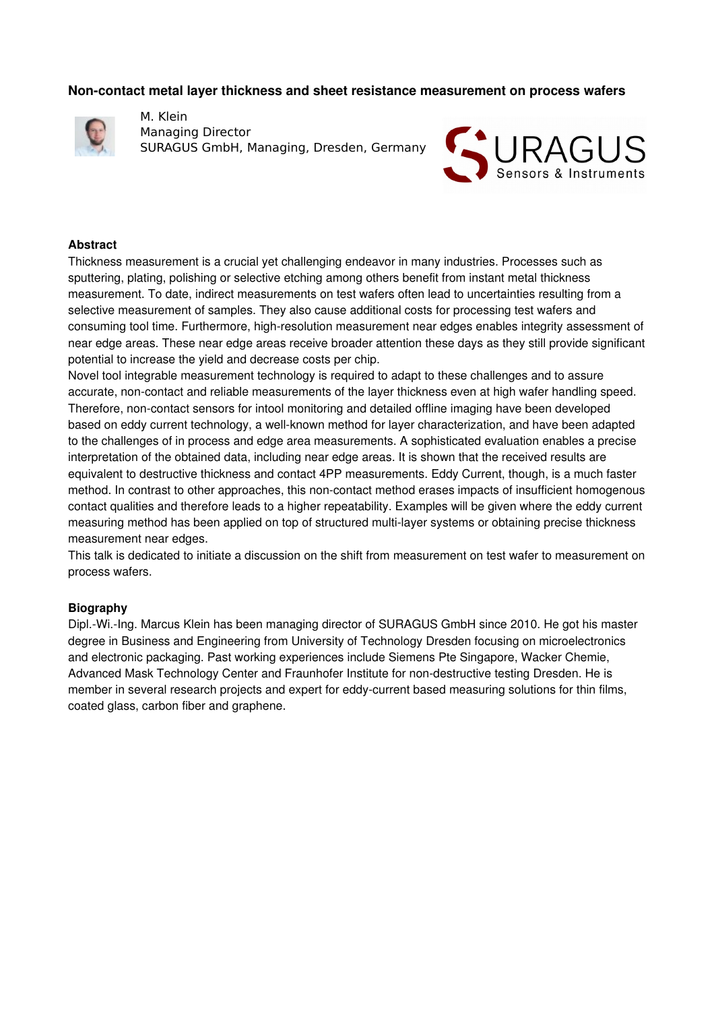#### **Noncontact metal layer thickness and sheet resistance measurement on process wafers**



M. Klein Managing Director SURAGUS GmbH, Managing, Dresden, Germany



#### **Abstract**

Thickness measurement is a crucial yet challenging endeavor in many industries. Processes such as sputtering, plating, polishing or selective etching among others benefit from instant metal thickness measurement. To date, indirect measurements on test wafers often lead to uncertainties resulting from a selective measurement of samples. They also cause additional costs for processing test wafers and consuming tool time. Furthermore, high-resolution measurement near edges enables integrity assessment of near edge areas. These near edge areas receive broader attention these days as they still provide significant potential to increase the yield and decrease costs per chip.

Novel tool integrable measurement technology is required to adapt to these challenges and to assure accurate, non-contact and reliable measurements of the layer thickness even at high wafer handling speed. Therefore, non-contact sensors for intool monitoring and detailed offline imaging have been developed based on eddy current technology, a well-known method for layer characterization, and have been adapted to the challenges of in process and edge area measurements. A sophisticated evaluation enables a precise interpretation of the obtained data, including near edge areas. It is shown that the received results are equivalent to destructive thickness and contact 4PP measurements. Eddy Current, though, is a much faster method. In contrast to other approaches, this non-contact method erases impacts of insufficient homogenous contact qualities and therefore leads to a higher repeatability. Examples will be given where the eddy current measuring method has been applied on top of structured multi-layer systems or obtaining precise thickness measurement near edges.

This talk is dedicated to initiate a discussion on the shift from measurement on test wafer to measurement on process wafers.

#### **Biography**

Dipl.-Wi.-Ing. Marcus Klein has been managing director of SURAGUS GmbH since 2010. He got his master degree in Business and Engineering from University of Technology Dresden focusing on microelectronics and electronic packaging. Past working experiences include Siemens Pte Singapore, Wacker Chemie, Advanced Mask Technology Center and Fraunhofer Institute for non-destructive testing Dresden. He is member in several research projects and expert for eddy-current based measuring solutions for thin films, coated glass, carbon fiber and graphene.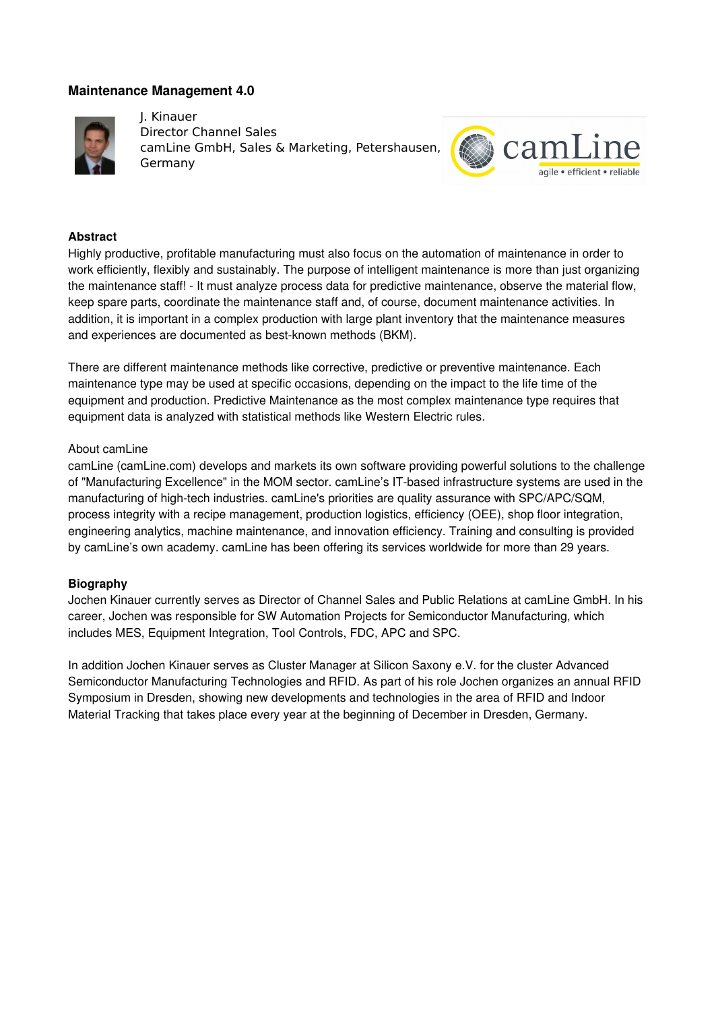## **Maintenance Management 4.0**



J. Kinauer Director Channel Sales camLine GmbH, Sales & Marketing, Petershausen, Germany



#### **Abstract**

Highly productive, profitable manufacturing must also focus on the automation of maintenance in order to work efficiently, flexibly and sustainably. The purpose of intelligent maintenance is more than just organizing the maintenance staff! - It must analyze process data for predictive maintenance, observe the material flow, keep spare parts, coordinate the maintenance staff and, of course, document maintenance activities. In addition, it is important in a complex production with large plant inventory that the maintenance measures and experiences are documented as best-known methods (BKM).

There are different maintenance methods like corrective, predictive or preventive maintenance. Each maintenance type may be used at specific occasions, depending on the impact to the life time of the equipment and production. Predictive Maintenance as the most complex maintenance type requires that equipment data is analyzed with statistical methods like Western Electric rules.

#### About camLine

camLine (camLine.com) develops and markets its own software providing powerful solutions to the challenge of "Manufacturing Excellence" in the MOM sector. camLine's IT-based infrastructure systems are used in the manufacturing of high-tech industries. camLine's priorities are quality assurance with SPC/APC/SQM, process integrity with a recipe management, production logistics, efficiency (OEE), shop floor integration, engineering analytics, machine maintenance, and innovation efficiency. Training and consulting is provided by camLine's own academy. camLine has been offering its services worldwide for more than 29 years.

#### **Biography**

Jochen Kinauer currently serves as Director of Channel Sales and Public Relations at camLine GmbH. In his career, Jochen was responsible for SW Automation Projects for Semiconductor Manufacturing, which includes MES, Equipment Integration, Tool Controls, FDC, APC and SPC.

In addition Jochen Kinauer serves as Cluster Manager at Silicon Saxony e.V. for the cluster Advanced Semiconductor Manufacturing Technologies and RFID. As part of his role Jochen organizes an annual RFID Symposium in Dresden, showing new developments and technologies in the area of RFID and Indoor Material Tracking that takes place every year at the beginning of December in Dresden, Germany.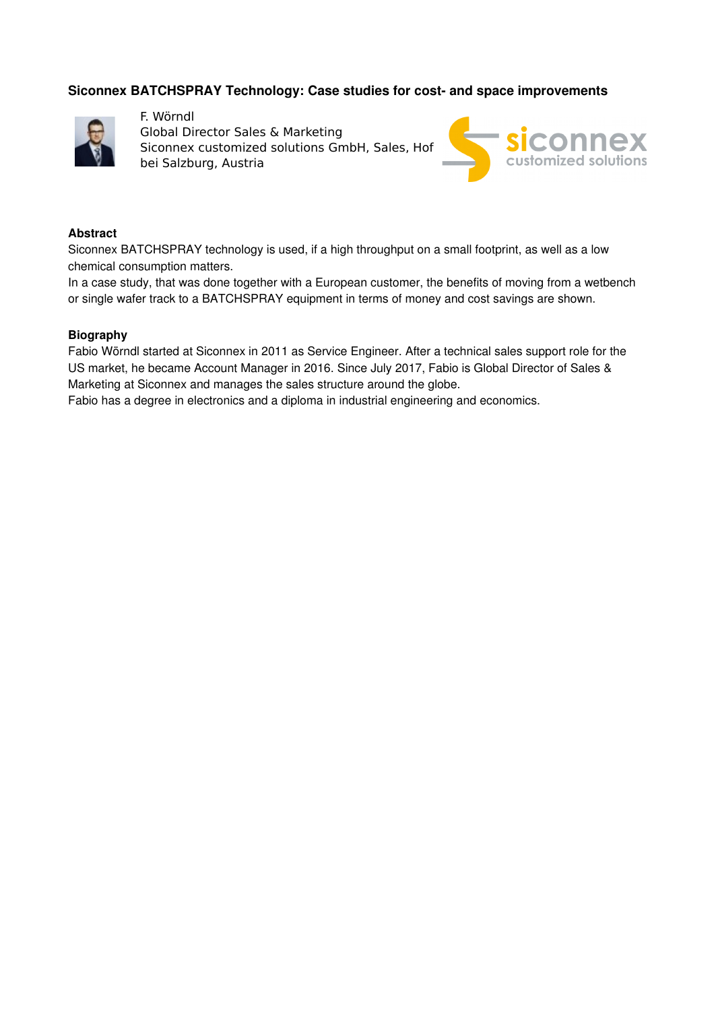# **Siconnex BATCHSPRAY Technology: Case studies for cost- and space improvements**



F. Wörndl Global Director Sales & Marketing Siconnex customized solutions GmbH, Sales, Hof bei Salzburg, Austria



#### **Abstract**

Siconnex BATCHSPRAY technology is used, if a high throughput on a small footprint, as well as a low chemical consumption matters.

In a case study, that was done together with a European customer, the benefits of moving from a wetbench or single wafer track to a BATCHSPRAY equipment in terms of money and cost savings are shown.

#### **Biography**

Fabio Wörndl started at Siconnex in 2011 as Service Engineer. After a technical sales support role for the US market, he became Account Manager in 2016. Since July 2017, Fabio is Global Director of Sales & Marketing at Siconnex and manages the sales structure around the globe.

Fabio has a degree in electronics and a diploma in industrial engineering and economics.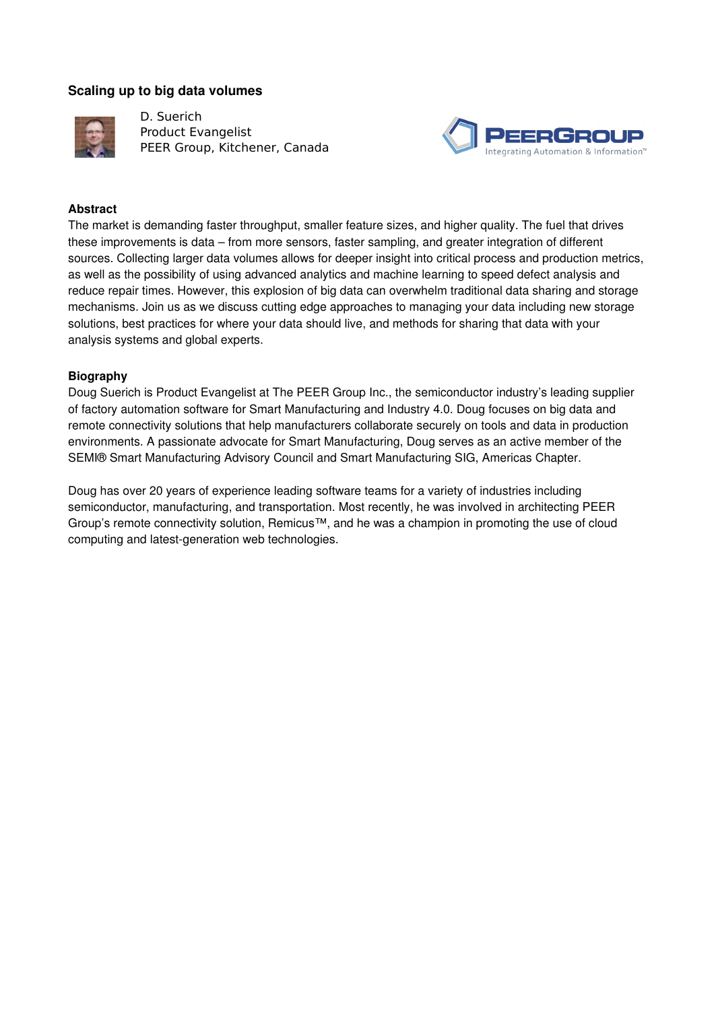## **Scaling up to big data volumes**



D. Suerich Product Evangelist PEER Group, Kitchener, Canada



## **Abstract**

The market is demanding faster throughput, smaller feature sizes, and higher quality. The fuel that drives these improvements is data – from more sensors, faster sampling, and greater integration of different sources. Collecting larger data volumes allows for deeper insight into critical process and production metrics, as well as the possibility of using advanced analytics and machine learning to speed defect analysis and reduce repair times. However, this explosion of big data can overwhelm traditional data sharing and storage mechanisms. Join us as we discuss cutting edge approaches to managing your data including new storage solutions, best practices for where your data should live, and methods for sharing that data with your analysis systems and global experts.

#### **Biography**

Doug Suerich is Product Evangelist at The PEER Group Inc., the semiconductor industry's leading supplier of factory automation software for Smart Manufacturing and Industry 4.0. Doug focuses on big data and remote connectivity solutions that help manufacturers collaborate securely on tools and data in production environments. A passionate advocate for Smart Manufacturing, Doug serves as an active member of the SEMI® Smart Manufacturing Advisory Council and Smart Manufacturing SIG, Americas Chapter.

Doug has over 20 years of experience leading software teams for a variety of industries including semiconductor, manufacturing, and transportation. Most recently, he was involved in architecting PEER Group's remote connectivity solution, Remicus™, and he was a champion in promoting the use of cloud computing and latest-generation web technologies.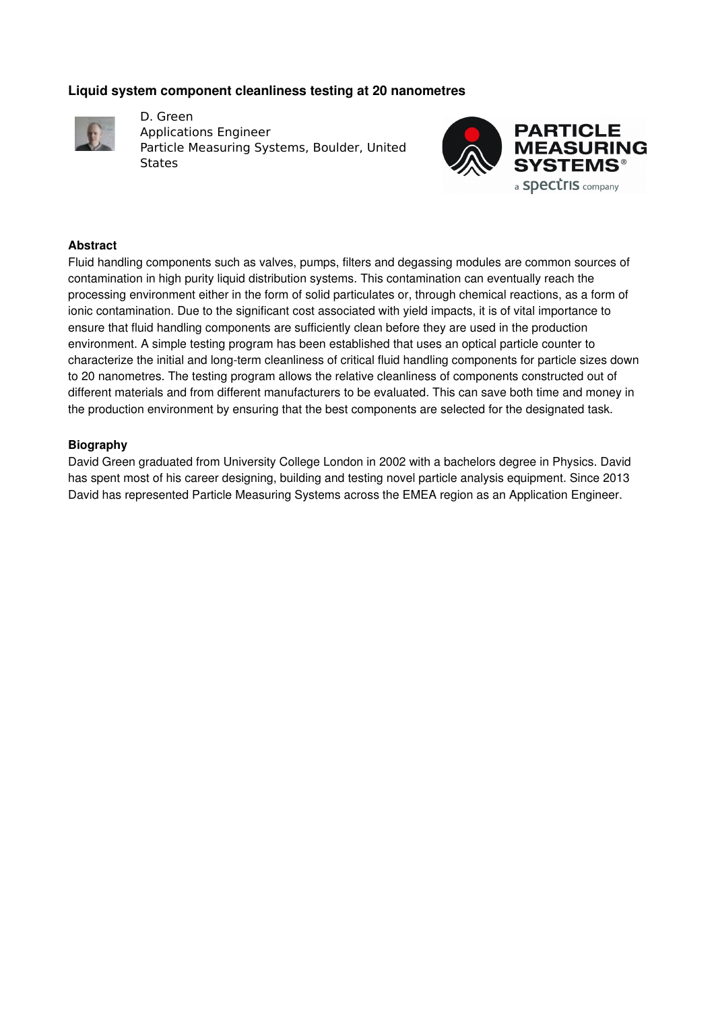## **Liquid system component cleanliness testing at 20 nanometres**



D. Green Applications Engineer Particle Measuring Systems, Boulder, United **States** 



#### **Abstract**

Fluid handling components such as valves, pumps, filters and degassing modules are common sources of contamination in high purity liquid distribution systems. This contamination can eventually reach the processing environment either in the form of solid particulates or, through chemical reactions, as a form of ionic contamination. Due to the significant cost associated with yield impacts, it is of vital importance to ensure that fluid handling components are sufficiently clean before they are used in the production environment. A simple testing program has been established that uses an optical particle counter to characterize the initial and long-term cleanliness of critical fluid handling components for particle sizes down to 20 nanometres. The testing program allows the relative cleanliness of components constructed out of different materials and from different manufacturers to be evaluated. This can save both time and money in the production environment by ensuring that the best components are selected for the designated task.

#### **Biography**

David Green graduated from University College London in 2002 with a bachelors degree in Physics. David has spent most of his career designing, building and testing novel particle analysis equipment. Since 2013 David has represented Particle Measuring Systems across the EMEA region as an Application Engineer.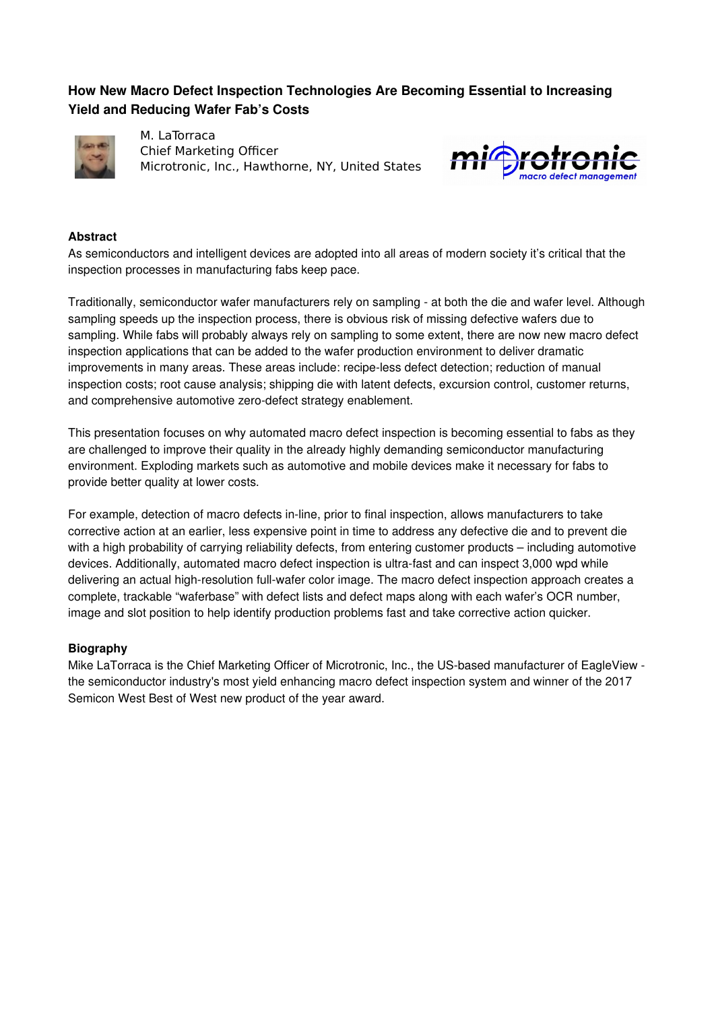# **How New Macro Defect Inspection Technologies Are Becoming Essential to Increasing Yield and Reducing Wafer Fab's Costs**



M. LaTorraca Chief Marketing Officer Microtronic, Inc., Hawthorne, NY, United States



## **Abstract**

As semiconductors and intelligent devices are adopted into all areas of modern society it's critical that the inspection processes in manufacturing fabs keep pace.

Traditionally, semiconductor wafer manufacturers rely on sampling - at both the die and wafer level. Although sampling speeds up the inspection process, there is obvious risk of missing defective wafers due to sampling. While fabs will probably always rely on sampling to some extent, there are now new macro defect inspection applications that can be added to the wafer production environment to deliver dramatic improvements in many areas. These areas include: recipe-less defect detection; reduction of manual inspection costs; root cause analysis; shipping die with latent defects, excursion control, customer returns, and comprehensive automotive zero-defect strategy enablement.

This presentation focuses on why automated macro defect inspection is becoming essential to fabs as they are challenged to improve their quality in the already highly demanding semiconductor manufacturing environment. Exploding markets such as automotive and mobile devices make it necessary for fabs to provide better quality at lower costs.

For example, detection of macro defects in-line, prior to final inspection, allows manufacturers to take corrective action at an earlier, less expensive point in time to address any defective die and to prevent die with a high probability of carrying reliability defects, from entering customer products – including automotive devices. Additionally, automated macro defect inspection is ultra-fast and can inspect 3,000 wpd while delivering an actual high-resolution full-wafer color image. The macro defect inspection approach creates a complete, trackable "waferbase" with defect lists and defect maps along with each wafer's OCR number, image and slot position to help identify production problems fast and take corrective action quicker.

## **Biography**

Mike LaTorraca is the Chief Marketing Officer of Microtronic, Inc., the US-based manufacturer of EagleView the semiconductor industry's most yield enhancing macro defect inspection system and winner of the 2017 Semicon West Best of West new product of the year award.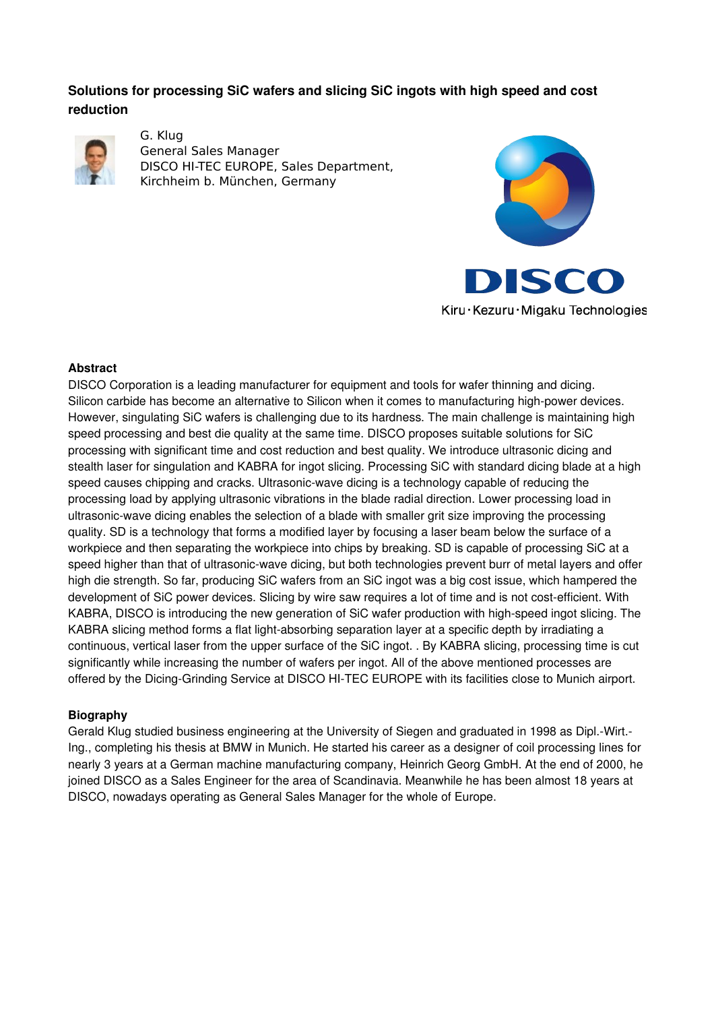# **Solutions for processing SiC wafers and slicing SiC ingots with high speed and cost reduction**



G. Klug General Sales Manager DISCO HI-TEC EUROPE, Sales Department, Kirchheim b. München, Germany





Kiru · Kezuru · Migaku Technologies

## **Abstract**

DISCO Corporation is a leading manufacturer for equipment and tools for wafer thinning and dicing. Silicon carbide has become an alternative to Silicon when it comes to manufacturing high-power devices. However, singulating SiC wafers is challenging due to its hardness. The main challenge is maintaining high speed processing and best die quality at the same time. DISCO proposes suitable solutions for SiC processing with significant time and cost reduction and best quality. We introduce ultrasonic dicing and stealth laser for singulation and KABRA for ingot slicing. Processing SiC with standard dicing blade at a high speed causes chipping and cracks. Ultrasonic-wave dicing is a technology capable of reducing the processing load by applying ultrasonic vibrations in the blade radial direction. Lower processing load in ultrasonic-wave dicing enables the selection of a blade with smaller grit size improving the processing quality. SD is a technology that forms a modified layer by focusing a laser beam below the surface of a workpiece and then separating the workpiece into chips by breaking. SD is capable of processing SiC at a speed higher than that of ultrasonic-wave dicing, but both technologies prevent burr of metal layers and offer high die strength. So far, producing SiC wafers from an SiC ingot was a big cost issue, which hampered the development of SiC power devices. Slicing by wire saw requires a lot of time and is not cost-efficient. With KABRA, DISCO is introducing the new generation of SiC wafer production with high-speed ingot slicing. The KABRA slicing method forms a flat light-absorbing separation layer at a specific depth by irradiating a continuous, vertical laser from the upper surface of the SiC ingot. . By KABRA slicing, processing time is cut significantly while increasing the number of wafers per ingot. All of the above mentioned processes are offered by the Dicing-Grinding Service at DISCO HI-TEC EUROPE with its facilities close to Munich airport.

## **Biography**

Gerald Klug studied business engineering at the University of Siegen and graduated in 1998 as Dipl.Wirt. Ing., completing his thesis at BMW in Munich. He started his career as a designer of coil processing lines for nearly 3 years at a German machine manufacturing company, Heinrich Georg GmbH. At the end of 2000, he joined DISCO as a Sales Engineer for the area of Scandinavia. Meanwhile he has been almost 18 years at DISCO, nowadays operating as General Sales Manager for the whole of Europe.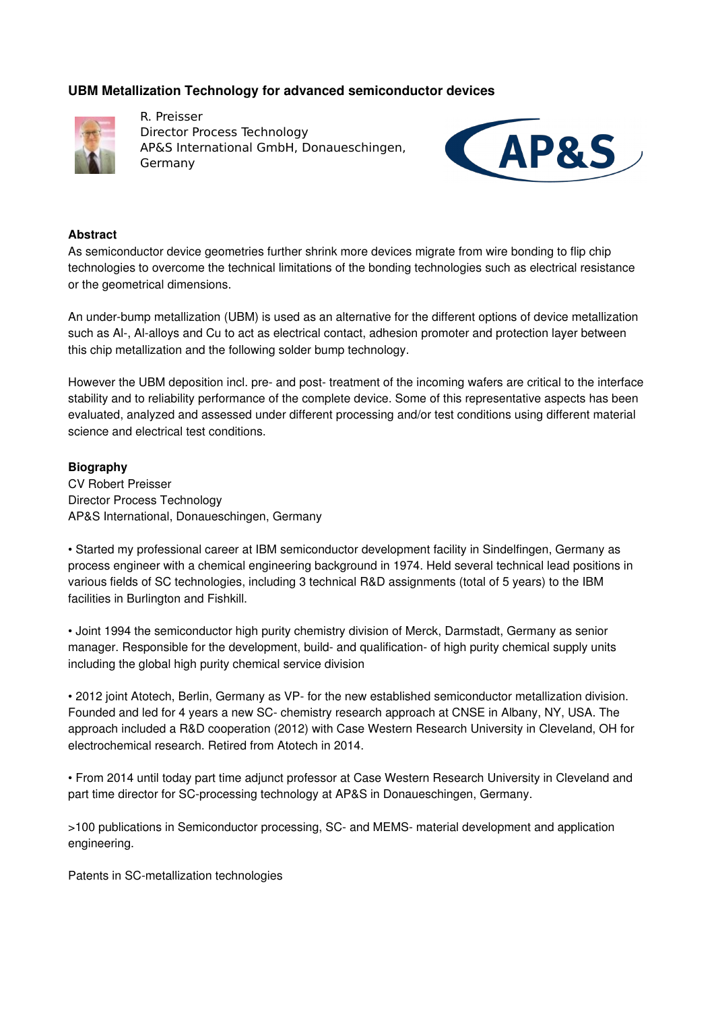# **UBM Metallization Technology for advanced semiconductor devices**



R. Preisser Director Process Technology AP&S International GmbH, Donaueschingen, Germany



#### **Abstract**

As semiconductor device geometries further shrink more devices migrate from wire bonding to flip chip technologies to overcome the technical limitations of the bonding technologies such as electrical resistance or the geometrical dimensions.

An under-bump metallization (UBM) is used as an alternative for the different options of device metallization such as Al-, Al-alloys and Cu to act as electrical contact, adhesion promoter and protection layer between this chip metallization and the following solder bump technology.

However the UBM deposition incl. pre- and post-treatment of the incoming wafers are critical to the interface stability and to reliability performance of the complete device. Some of this representative aspects has been evaluated, analyzed and assessed under different processing and/or test conditions using different material science and electrical test conditions.

#### **Biography**

CV Robert Preisser Director Process Technology AP&S International, Donaueschingen, Germany

• Started my professional career at IBM semiconductor development facility in Sindelfingen, Germany as process engineer with a chemical engineering background in 1974. Held several technical lead positions in various fields of SC technologies, including 3 technical R&D assignments (total of 5 years) to the IBM facilities in Burlington and Fishkill.

• Joint 1994 the semiconductor high purity chemistry division of Merck, Darmstadt, Germany as senior manager. Responsible for the development, build- and qualification- of high purity chemical supply units including the global high purity chemical service division

• 2012 joint Atotech, Berlin, Germany as VP- for the new established semiconductor metallization division. Founded and led for 4 years a new SC- chemistry research approach at CNSE in Albany, NY, USA. The approach included a R&D cooperation (2012) with Case Western Research University in Cleveland, OH for electrochemical research. Retired from Atotech in 2014.

• From 2014 until today part time adjunct professor at Case Western Research University in Cleveland and part time director for SC-processing technology at AP&S in Donaueschingen, Germany.

>100 publications in Semiconductor processing, SC and MEMS material development and application engineering.

Patents in SC-metallization technologies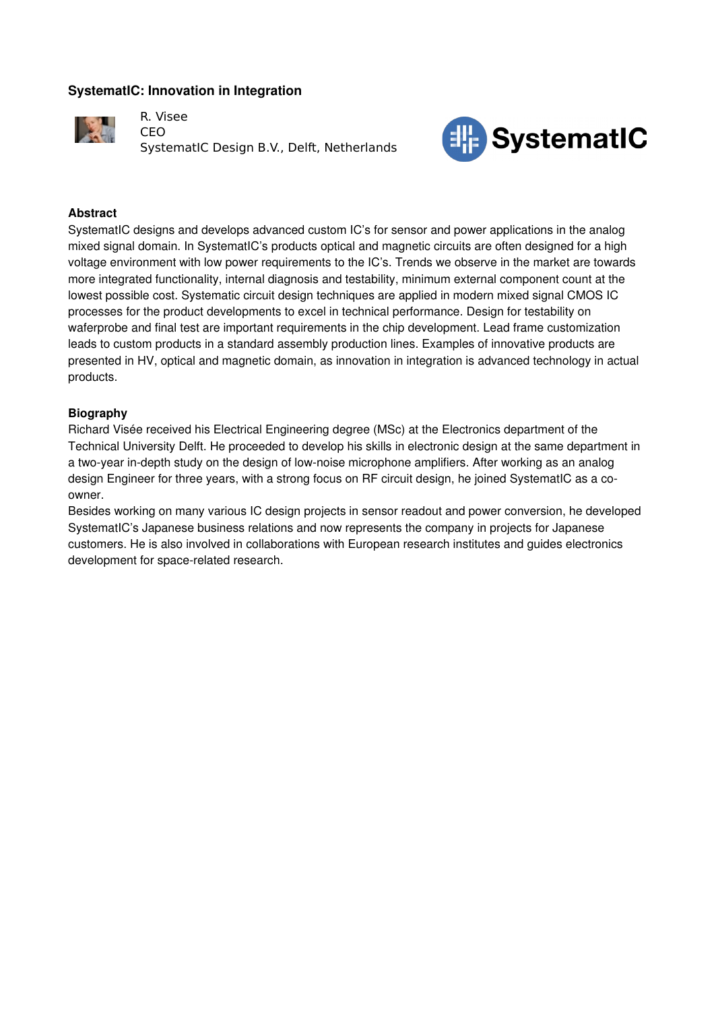# **SystematIC: Innovation in Integration**



R. Visee CEO SystematIC Design B.V., Delft, Netherlands



## **Abstract**

SystematIC designs and develops advanced custom IC's for sensor and power applications in the analog mixed signal domain. In SystematIC's products optical and magnetic circuits are often designed for a high voltage environment with low power requirements to the IC's. Trends we observe in the market are towards more integrated functionality, internal diagnosis and testability, minimum external component count at the lowest possible cost. Systematic circuit design techniques are applied in modern mixed signal CMOS IC processes for the product developments to excel in technical performance. Design for testability on waferprobe and final test are important requirements in the chip development. Lead frame customization leads to custom products in a standard assembly production lines. Examples of innovative products are presented in HV, optical and magnetic domain, as innovation in integration is advanced technology in actual products.

## **Biography**

Richard Visée received his Electrical Engineering degree (MSc) at the Electronics department of the Technical University Delft. He proceeded to develop his skills in electronic design at the same department in a two-year in-depth study on the design of low-noise microphone amplifiers. After working as an analog design Engineer for three years, with a strong focus on RF circuit design, he joined SystematIC as a coowner.

Besides working on many various IC design projects in sensor readout and power conversion, he developed SystematIC's Japanese business relations and now represents the company in projects for Japanese customers. He is also involved in collaborations with European research institutes and guides electronics development for space-related research.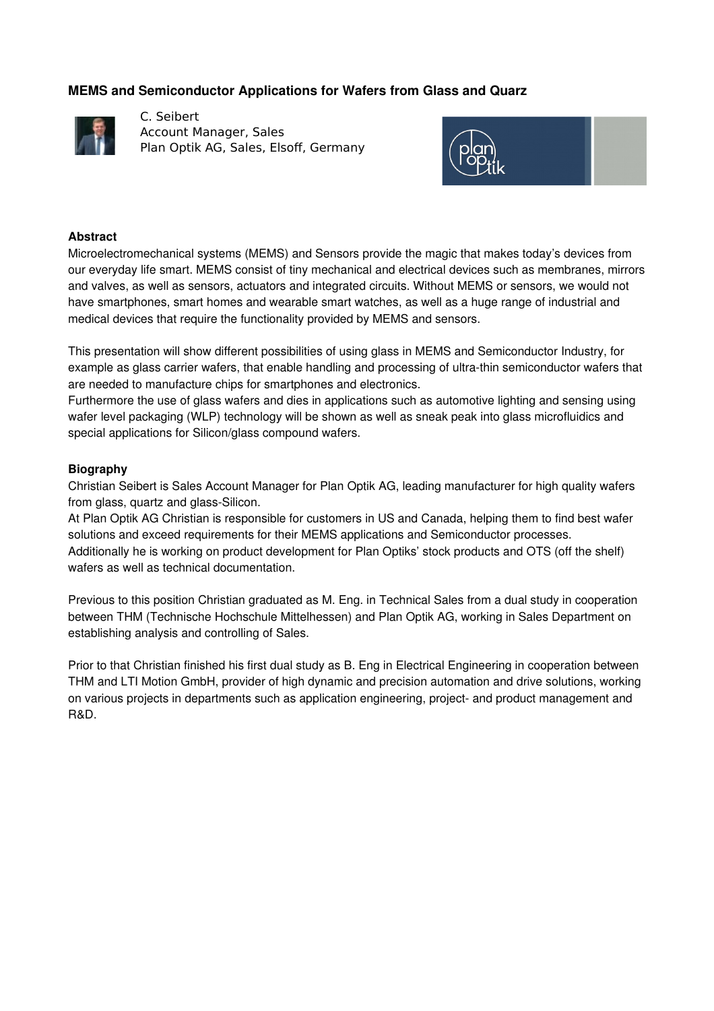# **MEMS and Semiconductor Applications for Wafers from Glass and Quarz**



C. Seibert Account Manager, Sales Plan Optik AG, Sales, Elsoff, Germany



#### **Abstract**

Microelectromechanical systems (MEMS) and Sensors provide the magic that makes today's devices from our everyday life smart. MEMS consist of tiny mechanical and electrical devices such as membranes, mirrors and valves, as well as sensors, actuators and integrated circuits. Without MEMS or sensors, we would not have smartphones, smart homes and wearable smart watches, as well as a huge range of industrial and medical devices that require the functionality provided by MEMS and sensors.

This presentation will show different possibilities of using glass in MEMS and Semiconductor Industry, for example as glass carrier wafers, that enable handling and processing of ultra-thin semiconductor wafers that are needed to manufacture chips for smartphones and electronics.

Furthermore the use of glass wafers and dies in applications such as automotive lighting and sensing using wafer level packaging (WLP) technology will be shown as well as sneak peak into glass microfluidics and special applications for Silicon/glass compound wafers.

#### **Biography**

Christian Seibert is Sales Account Manager for Plan Optik AG, leading manufacturer for high quality wafers from glass, quartz and glass-Silicon.

At Plan Optik AG Christian is responsible for customers in US and Canada, helping them to find best wafer solutions and exceed requirements for their MEMS applications and Semiconductor processes. Additionally he is working on product development for Plan Optiks' stock products and OTS (off the shelf) wafers as well as technical documentation.

Previous to this position Christian graduated as M. Eng. in Technical Sales from a dual study in cooperation between THM (Technische Hochschule Mittelhessen) and Plan Optik AG, working in Sales Department on establishing analysis and controlling of Sales.

Prior to that Christian finished his first dual study as B. Eng in Electrical Engineering in cooperation between THM and LTI Motion GmbH, provider of high dynamic and precision automation and drive solutions, working on various projects in departments such as application engineering, project and product management and R&D.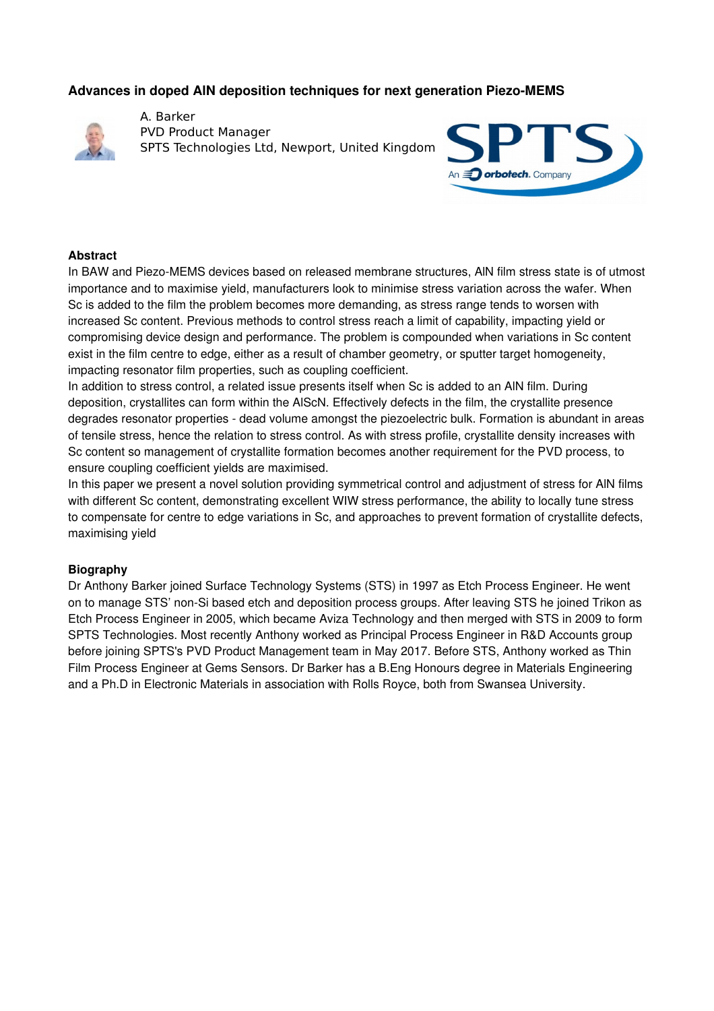## **Advances in doped AIN deposition techniques for next generation Piezo-MEMS**



A. Barker PVD Product Manager SPTS Technologies Ltd, Newport, United Kingdom



#### **Abstract**

In BAW and Piezo-MEMS devices based on released membrane structures, AIN film stress state is of utmost importance and to maximise yield, manufacturers look to minimise stress variation across the wafer. When Sc is added to the film the problem becomes more demanding, as stress range tends to worsen with increased Sc content. Previous methods to control stress reach a limit of capability, impacting yield or compromising device design and performance. The problem is compounded when variations in Sc content exist in the film centre to edge, either as a result of chamber geometry, or sputter target homogeneity, impacting resonator film properties, such as coupling coefficient.

In addition to stress control, a related issue presents itself when Sc is added to an AlN film. During deposition, crystallites can form within the AlScN. Effectively defects in the film, the crystallite presence degrades resonator properties - dead volume amongst the piezoelectric bulk. Formation is abundant in areas of tensile stress, hence the relation to stress control. As with stress profile, crystallite density increases with Sc content so management of crystallite formation becomes another requirement for the PVD process, to ensure coupling coefficient yields are maximised.

In this paper we present a novel solution providing symmetrical control and adjustment of stress for AlN films with different Sc content, demonstrating excellent WIW stress performance, the ability to locally tune stress to compensate for centre to edge variations in Sc, and approaches to prevent formation of crystallite defects, maximising yield

#### **Biography**

Dr Anthony Barker joined Surface Technology Systems (STS) in 1997 as Etch Process Engineer. He went on to manage STS' non-Si based etch and deposition process groups. After leaving STS he joined Trikon as Etch Process Engineer in 2005, which became Aviza Technology and then merged with STS in 2009 to form SPTS Technologies. Most recently Anthony worked as Principal Process Engineer in R&D Accounts group before joining SPTS's PVD Product Management team in May 2017. Before STS, Anthony worked as Thin Film Process Engineer at Gems Sensors. Dr Barker has a B.Eng Honours degree in Materials Engineering and a Ph.D in Electronic Materials in association with Rolls Royce, both from Swansea University.